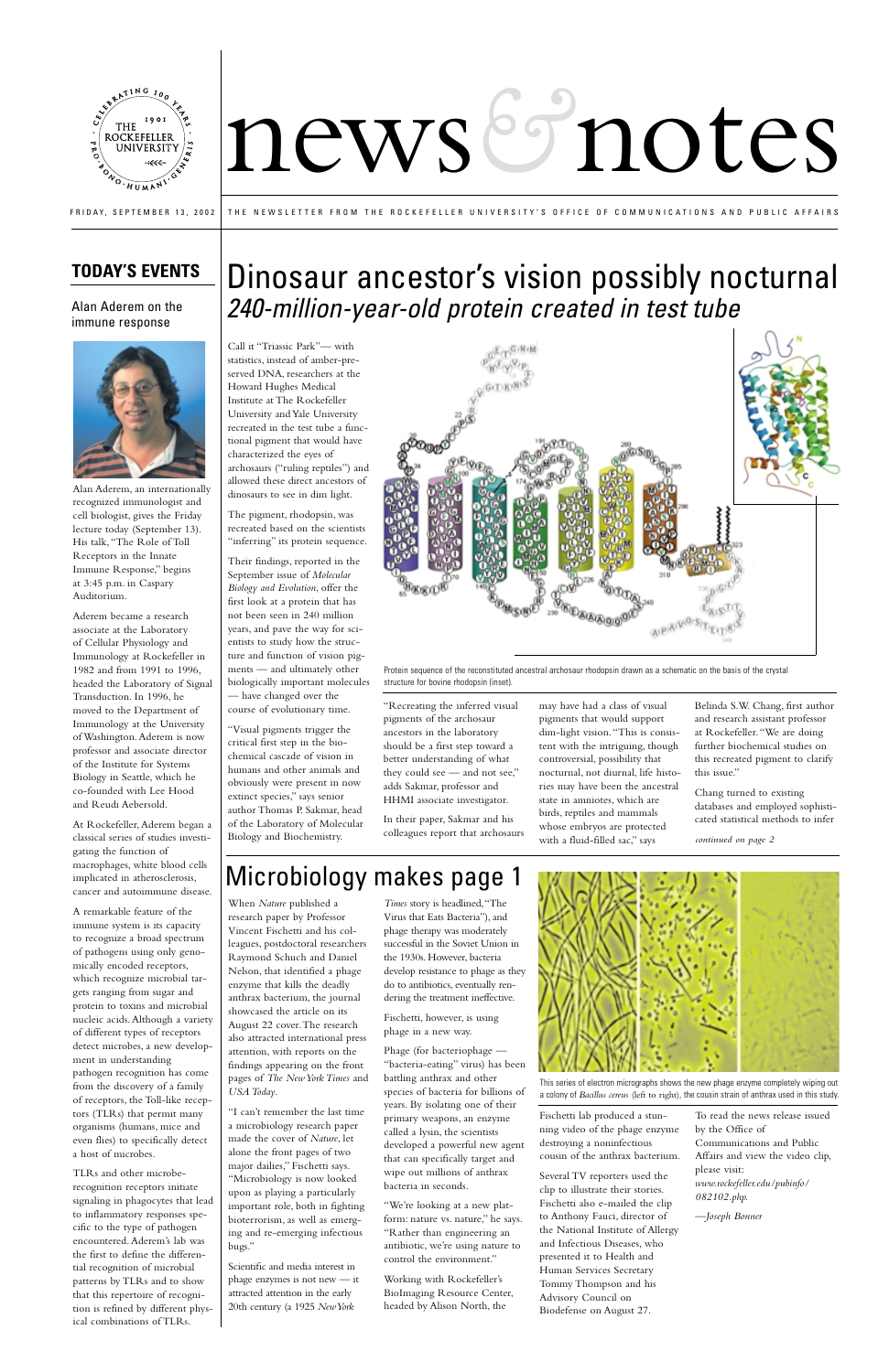

# newsbrotes

Call it "Triassic Park"— with statistics, instead of amber-preserved DNA, researchers at the

"inferring" its protein sequence.

Howard Hughes Medical Institute at The Rockefeller University and Yale University recreated in the test tube a functional pigment that would have characterized the eyes of archosaurs ("ruling reptiles") and allowed these direct ancestors of dinosaurs to see in dim light. The pigment, rhodopsin, was

recreated based on the scientists

Their findings, reported in the September issue of *Molecular Biology and Evolution*, offer the first look at a protein that has not been seen in 240 million years, and pave the way for scientists to study how the structure and function of vision pigments — and ultimately other biologically important molecules

— have changed over the course of evolutionary time.

"Visual pigments trigger the critical first step in the biochemical cascade of vision in humans and other animals and obviously were present in now extinct species," says senior author Thomas P. Sakmar, head of the Laboratory of Molecular Biology and Biochemistry.

better understanding of what they could see — and not see," adds Sakmar, professor and HHMI associate investigator.

In their paper, Sakmar and his colleagues report that archosaurs

pigments that would support dim-light vision."This is consistent with the intriguing, though controversial, possibility that nocturnal, not diurnal, life histories may have been the ancestral state in amniotes, which are birds, reptiles and mammals whose embryos are protected with a fluid-filled sac," says

Belinda S.W. Chang, first author and research assistant professor at Rockefeller."We are doing further biochemical studies on this recreated pigment to clarify this issue."

Chang turned to existing databases and employed sophisticated statistical methods to infer

FRIDAY, SEPTEMBER 13, 2002 THE NEWSLETTER FROM THE ROCKEFELLER UNIVERSITY'S OFFICE OF COMMUNICATIONS AND PUBLIC AFFAIRS

### **TODAY'S EVENTS**

Alan Aderem, an internationally recognized immunologist and cell biologist, gives the Friday lecture today (September 13). His talk,"The Role of Toll Receptors in the Innate Immune Response," begins at 3:45 p.m. in Caspary Auditorium.

Aderem became a research associate at the Laboratory of Cellular Physiology and Immunology at Rockefeller in 1982 and from 1991 to 1996, headed the Laboratory of Signal Transduction. In 1996, he moved to the Department of Immunology at the University of Washington. Aderem is now professor and associate director of the Institute for Systems Biology in Seattle, which he co-founded with Lee Hood and Reudi Aebersold.



At Rockefeller, Aderem began a classical series of studies investigating the function of macrophages, white blood cells implicated in atherosclerosis, cancer and autoimmune disease.

A remarkable feature of the immune system is its capacity to recognize a broad spectrum of pathogens using only genomically encoded receptors, which recognize microbial targets ranging from sugar and protein to toxins and microbial nucleic acids. Although a variety of different types of receptors detect microbes, a new development in understanding pathogen recognition has come from the discovery of a family of receptors, the Toll-like receptors (TLRs) that permit many organisms (humans, mice and even flies) to specifically detect a host of microbes.

TLRs and other microberecognition receptors initiate signaling in phagocytes that lead to inflammatory responses specific to the type of pathogen encountered. Aderem's lab was the first to define the differential recognition of microbial patterns by TLRs and to show that this repertoire of recognition is refined by different physical combinations of TLRs.

## Dinosaur ancestor's vision possibly nocturnal 240-million-year-old protein created in test tube

*continued on page 2*



G/R/M

Alan Aderem on the immune response



## Microbiology makes page 1

When *Nature* published a research paper by Professor Vincent Fischetti and his colleagues, postdoctoral researchers Raymond Schuch and Daniel Nelson, that identified a phage enzyme that kills the deadly anthrax bacterium, the journal showcased the article on its August 22 cover.The research also attracted international press attention, with reports on the findings appearing on the front pages of *The New York Times* and *USA Today*.

"I can't remember the last time a microbiology research paper made the cover of *Nature*, let alone the front pages of two major dailies," Fischetti says. "Microbiology is now looked upon as playing a particularly important role, both in fighting bioterrorism, as well as emerging and re-emerging infectious bugs."

Scientific and media interest in phage enzymes is not new — it attracted attention in the early 20th century (a 1925 *New York* 

*Times* story is headlined,"The Virus that Eats Bacteria"), and phage therapy was moderately successful in the Soviet Union in the 1930s. However, bacteria develop resistance to phage as they do to antibiotics, eventually rendering the treatment ineffective.

Fischetti, however, is using phage in a new way.

Phage (for bacteriophage — "bacteria-eating" virus) has been battling anthrax and other species of bacteria for billions of years. By isolating one of their primary weapons, an enzyme called a lysin, the scientists developed a powerful new agent that can specifically target and wipe out millions of anthrax bacteria in seconds.

"We're looking at a new platform: nature vs. nature," he says. "Rather than engineering an antibiotic, we're using nature to control the environment."

Working with Rockefeller's BioImaging Resource Center, headed by Alison North, the

Fischetti lab produced a stunning video of the phage enzyme destroying a noninfectious cousin of the anthrax bacterium.

Several TV reporters used the clip to illustrate their stories. Fischetti also e-mailed the clip to Anthony Fauci, director of the National Institute of Allergy and Infectious Diseases, who presented it to Health and Human Services Secretary Tommy Thompson and his Advisory Council on Biodefense on August 27.

To read the news release issued by the Office of Communications and Public Affairs and view the video clip, please visit: *www.rockefeller.edu/pubinfo/ 082102.php.*

—*Joseph Bonner*

This series of electron micrographs shows the new phage enzyme completely wiping out a colony of *Bacillus cereus* (left to right), the cousin strain of anthrax used in this study.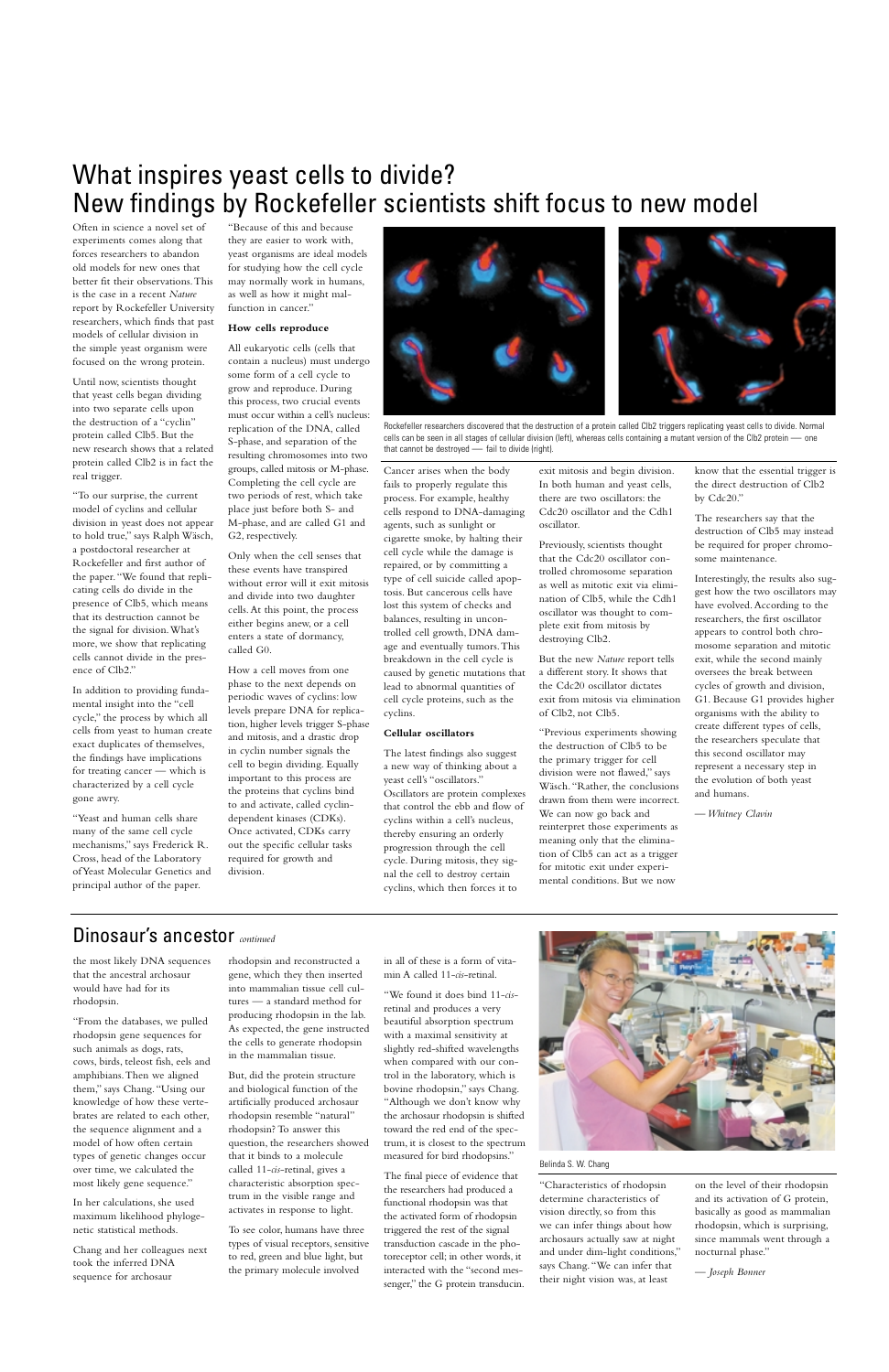## Dinosaur's ancestor *continued*

the most likely DNA sequences that the ancestral archosaur would have had for its rhodopsin.

"From the databases, we pulled rhodopsin gene sequences for such animals as dogs, rats, cows, birds, teleost fish, eels and amphibians.Then we aligned them," says Chang."Using our knowledge of how these vertebrates are related to each other, the sequence alignment and a model of how often certain types of genetic changes occur over time, we calculated the most likely gene sequence."

In her calculations, she used maximum likelihood phylogenetic statistical methods.

Chang and her colleagues next took the inferred DNA sequence for archosaur

rhodopsin and reconstructed a gene, which they then inserted into mammalian tissue cell cultures — a standard method for

producing rhodopsin in the lab. As expected, the gene instructed the cells to generate rhodopsin in the mammalian tissue.

But, did the protein structure and biological function of the artificially produced archosaur rhodopsin resemble "natural" rhodopsin? To answer this question, the researchers showed that it binds to a molecule called 11-*cis*-retinal, gives a characteristic absorption spectrum in the visible range and activates in response to light.

To see color, humans have three types of visual receptors, sensitive to red, green and blue light, but the primary molecule involved

in all of these is a form of vitamin A called 11-*cis*-retinal.

"We found it does bind 11-*cis*retinal and produces a very beautiful absorption spectrum with a maximal sensitivity at slightly red-shifted wavelengths when compared with our control in the laboratory, which is bovine rhodopsin," says Chang. "Although we don't know why the archosaur rhodopsin is shifted toward the red end of the spectrum, it is closest to the spectrum measured for bird rhodopsins."



The final piece of evidence that the researchers had produced a functional rhodopsin was that the activated form of rhodopsin triggered the rest of the signal transduction cascade in the photoreceptor cell; in other words, it interacted with the "second messenger," the G protein transducin.

"Characteristics of rhodopsin determine characteristics of vision directly, so from this we can infer things about how archosaurs actually saw at night and under dim-light conditions," says Chang."We can infer that their night vision was, at least

on the level of their rhodopsin and its activation of G protein, basically as good as mammalian rhodopsin, which is surprising, since mammals went through a nocturnal phase."

*— Joseph Bonner*

#### Belinda S. W. Chang

Often in science a novel set of experiments comes along that forces researchers to abandon old models for new ones that better fit their observations.This is the case in a recent *Nature* report by Rockefeller University researchers, which finds that past models of cellular division in the simple yeast organism were focused on the wrong protein.

Until now, scientists thought that yeast cells began dividing into two separate cells upon the destruction of a "cyclin" protein called Clb5. But the new research shows that a related protein called Clb2 is in fact the real trigger.

"To our surprise, the current model of cyclins and cellular division in yeast does not appear to hold true," says Ralph Wäsch, a postdoctoral researcher at Rockefeller and first author of the paper."We found that replicating cells do divide in the presence of Clb5, which means that its destruction cannot be the signal for division.What's more, we show that replicating cells cannot divide in the presence of Clb2."

In addition to providing fundamental insight into the "cell cycle," the process by which all cells from yeast to human create exact duplicates of themselves, the findings have implications for treating cancer — which is characterized by a cell cycle gone awry.

"Yeast and human cells share many of the same cell cycle mechanisms," says Frederick R. Cross, head of the Laboratory of Yeast Molecular Genetics and principal author of the paper.

"Because of this and because they are easier to work with, yeast organisms are ideal models for studying how the cell cycle may normally work in humans, as well as how it might malfunction in cancer."

#### **How cells reproduce**

All eukaryotic cells (cells that contain a nucleus) must undergo some form of a cell cycle to grow and reproduce. During this process, two crucial events must occur within a cell's nucleus: replication of the DNA, called S-phase, and separation of the resulting chromosomes into two groups, called mitosis or M-phase. Completing the cell cycle are two periods of rest, which take place just before both S- and M-phase, and are called G1 and G2, respectively.

Only when the cell senses that these events have transpired without error will it exit mitosis and divide into two daughter cells. At this point, the process either begins anew, or a cell enters a state of dormancy, called G0.

How a cell moves from one phase to the next depends on periodic waves of cyclins: low levels prepare DNA for replication, higher levels trigger S-phase and mitosis, and a drastic drop in cyclin number signals the cell to begin dividing. Equally important to this process are the proteins that cyclins bind to and activate, called cyclindependent kinases (CDKs). Once activated, CDKs carry out the specific cellular tasks required for growth and division.

Cancer arises when the body fails to properly regulate this process. For example, healthy cells respond to DNA-damaging agents, such as sunlight or cigarette smoke, by halting their cell cycle while the damage is repaired, or by committing a type of cell suicide called apoptosis. But cancerous cells have lost this system of checks and balances, resulting in uncontrolled cell growth, DNA damage and eventually tumors.This breakdown in the cell cycle is caused by genetic mutations that lead to abnormal quantities of cell cycle proteins, such as the cyclins.

#### **Cellular oscillators**

The latest findings also suggest a new way of thinking about a yeast cell's "oscillators." Oscillators are protein complexes that control the ebb and flow of cyclins within a cell's nucleus, thereby ensuring an orderly progression through the cell cycle. During mitosis, they signal the cell to destroy certain cyclins, which then forces it to

exit mitosis and begin division. In both human and yeast cells, there are two oscillators: the Cdc20 oscillator and the Cdh1 oscillator.

Previously, scientists thought that the Cdc20 oscillator controlled chromosome separation as well as mitotic exit via elimination of Clb5, while the Cdh1 oscillator was thought to complete exit from mitosis by destroying Clb2.

But the new *Nature* report tells a different story. It shows that the Cdc20 oscillator dictates exit from mitosis via elimination of Clb2, not Clb5.

"Previous experiments showing the destruction of Clb5 to be the primary trigger for cell division were not flawed," says Wäsch."Rather, the conclusions drawn from them were incorrect. We can now go back and reinterpret those experiments as meaning only that the elimination of Clb5 can act as a trigger for mitotic exit under experimental conditions. But we now

know that the essential trigger is the direct destruction of Clb2 by Cdc20."

The researchers say that the destruction of Clb5 may instead be required for proper chromosome maintenance.

Interestingly, the results also suggest how the two oscillators may have evolved. According to the researchers, the first oscillator appears to control both chromosome separation and mitotic exit, while the second mainly oversees the break between cycles of growth and division, G1. Because G1 provides higher organisms with the ability to create different types of cells, the researchers speculate that this second oscillator may represent a necessary step in the evolution of both yeast and humans.

*— Whitney Clavin*

## What inspires yeast cells to divide? New findings by Rockefeller scientists shift focus to new model



Rockefeller researchers discovered that the destruction of a protein called Clb2 triggers replicating yeast cells to divide. Normal cells can be seen in all stages of cellular division (left), whereas cells containing a mutant version of the Clb2 protein *—* one that cannot be destroyed *—* fail to divide (right).